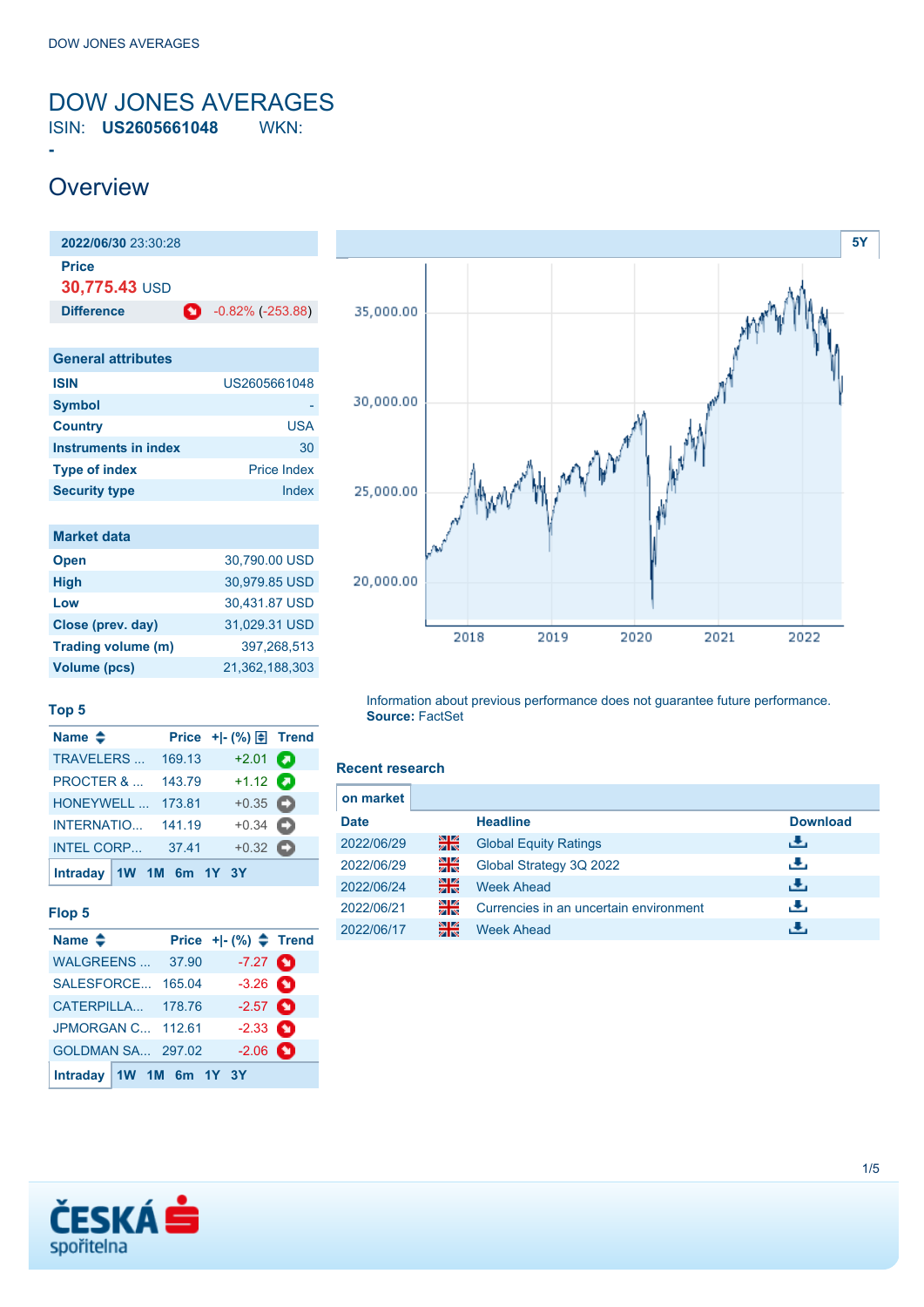## <span id="page-0-0"></span>DOW JONES AVERAGES ISIN: **US2605661048** WKN:

# **Overview**

**-**

| 2022/06/30 23:30:28    |   |                         |
|------------------------|---|-------------------------|
| Price<br>30,775.43 USD |   |                         |
| <b>Difference</b>      | o | $-0.82\%$ ( $-253.88$ ) |

| US2605661048       |
|--------------------|
|                    |
| <b>USA</b>         |
| 30                 |
| <b>Price Index</b> |
| Index              |
|                    |

| <b>Market data</b>  |                |
|---------------------|----------------|
| <b>Open</b>         | 30,790.00 USD  |
| <b>High</b>         | 30,979.85 USD  |
| Low                 | 30,431.87 USD  |
| Close (prev. day)   | 31,029.31 USD  |
| Trading volume (m)  | 397,268,513    |
| <b>Volume (pcs)</b> | 21.362.188.303 |



## **Top 5**

| Name $\triangleq$         |        | Price + - $(\%) \oplus$ Trend |  |
|---------------------------|--------|-------------------------------|--|
| <b>TRAVELERS</b>          | 169.13 | $+2.01$ $\bullet$             |  |
| <b>PROCTER &amp; </b>     | 143.79 | $+1.12$ $\odot$               |  |
| HONEYWELL                 | 173.81 | $+0.35$ $\bullet$             |  |
| <b>INTERNATIO</b>         | 141.19 | $+0.34$ $\bullet$             |  |
| <b>INTEL CORP</b>         | 37.41  | $+0.32$ $\bullet$             |  |
| Intraday $1W$ 1M 6m 1Y 3Y |        |                               |  |

### **Flop 5**

| Name $\triangleq$        |        | Price $+$ $ (%)$ $\triangle$ Trend |  |
|--------------------------|--------|------------------------------------|--|
| WALGREENS                | 37.90  | $-7.27$ $\bullet$                  |  |
| SALESFORCE               | 165.04 | $-3.26$ $\bullet$                  |  |
| CATERPILLA               | 178.76 | $-2.57$ $\bullet$                  |  |
| <b>JPMORGAN C 112.61</b> |        | $-2.33$ $\bullet$                  |  |
| GOLDMAN SA 297.02        |        | $-2.06$ $\bullet$                  |  |
| Intraday 1W 1M 6m 1Y 3Y  |        |                                    |  |

Information about previous performance does not guarantee future performance. **Source:** FactSet

#### **Recent research**

| <b>Download</b> |
|-----------------|
|                 |
|                 |
|                 |
|                 |
|                 |
|                 |

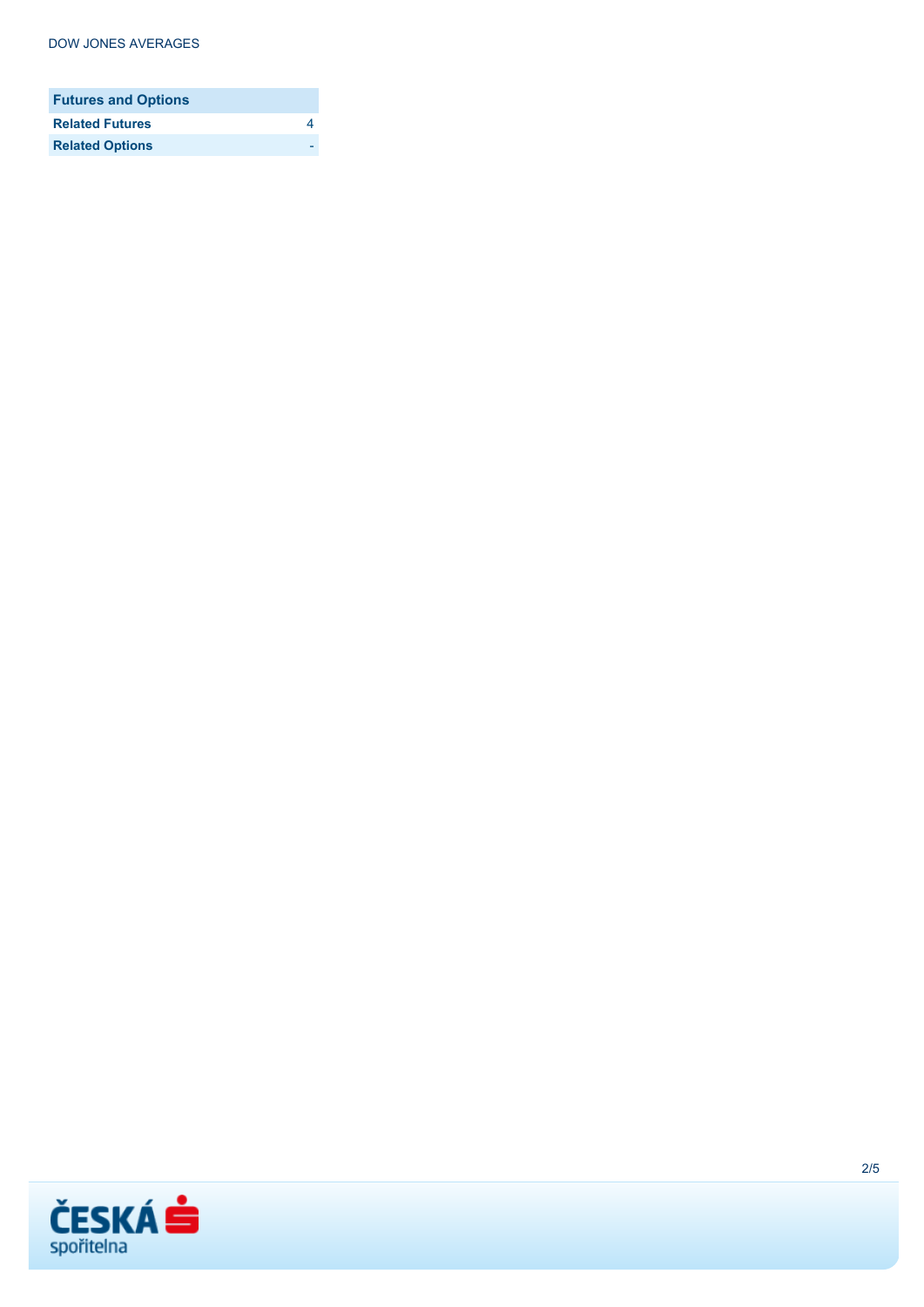| <b>Futures and Options</b> |  |
|----------------------------|--|
| <b>Related Futures</b>     |  |
| <b>Related Options</b>     |  |

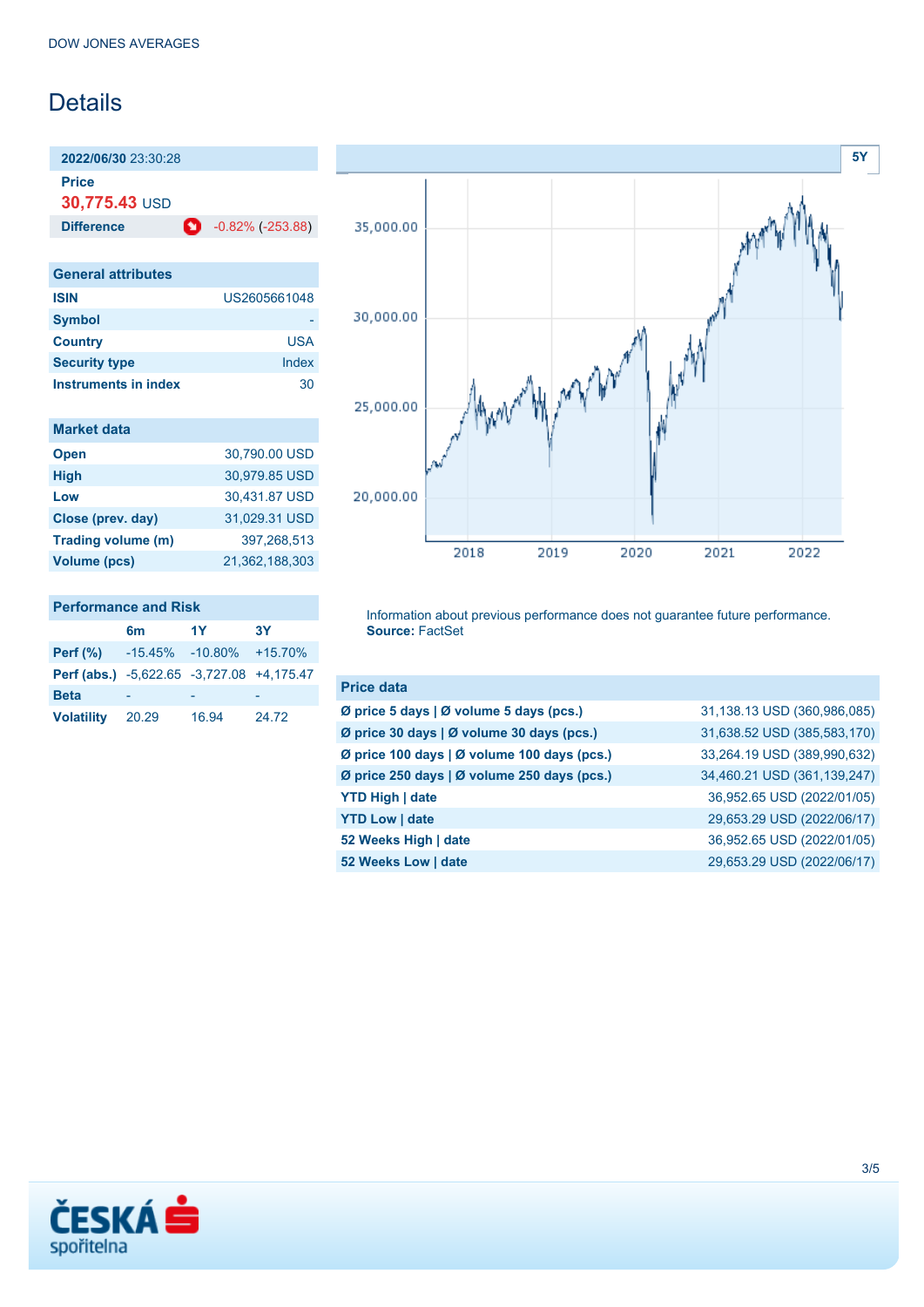# **Details**

**2022/06/30** 23:30:28

**Price**

**30,775.43** USD

**Difference C** -0.82% (-253.88)

| <b>General attributes</b> |              |
|---------------------------|--------------|
| <b>ISIN</b>               | US2605661048 |
| <b>Symbol</b>             |              |
| <b>Country</b>            | USA          |
| <b>Security type</b>      | Index        |
| Instruments in index      | 30           |

|  | <b>Market data</b> |  |
|--|--------------------|--|
|  |                    |  |
|  |                    |  |

Beta

| <b>Open</b>         | 30,790.00 USD  |
|---------------------|----------------|
| <b>High</b>         | 30,979.85 USD  |
| Low                 | 30,431.87 USD  |
| Close (prev. day)   | 31,029.31 USD  |
| Trading volume (m)  | 397,268,513    |
| <b>Volume (pcs)</b> | 21,362,188,303 |
|                     |                |

| <b>Performance and Risk</b>                      |    |     |           |  |
|--------------------------------------------------|----|-----|-----------|--|
|                                                  | 6m | -1Y | <b>3Y</b> |  |
| <b>Perf (%)</b> $-15.45\%$ $-10.80\%$ $+15.70\%$ |    |     |           |  |
| Perf (abs.) -5,622.65 -3,727.08 +4,175.47        |    |     |           |  |

**Volatility** 20.29 16.94 24.72



Information about previous performance does not guarantee future performance. **Source:** FactSet

| <b>Price data</b>                           |                             |
|---------------------------------------------|-----------------------------|
| Ø price 5 days   Ø volume 5 days (pcs.)     | 31,138.13 USD (360,986,085) |
| Ø price 30 days   Ø volume 30 days (pcs.)   | 31,638.52 USD (385,583,170) |
| Ø price 100 days   Ø volume 100 days (pcs.) | 33,264.19 USD (389,990,632) |
| Ø price 250 days   Ø volume 250 days (pcs.) | 34,460.21 USD (361,139,247) |
| <b>YTD High   date</b>                      | 36,952.65 USD (2022/01/05)  |
| <b>YTD Low   date</b>                       | 29,653.29 USD (2022/06/17)  |
| 52 Weeks High   date                        | 36,952.65 USD (2022/01/05)  |
| 52 Weeks Low   date                         | 29,653.29 USD (2022/06/17)  |

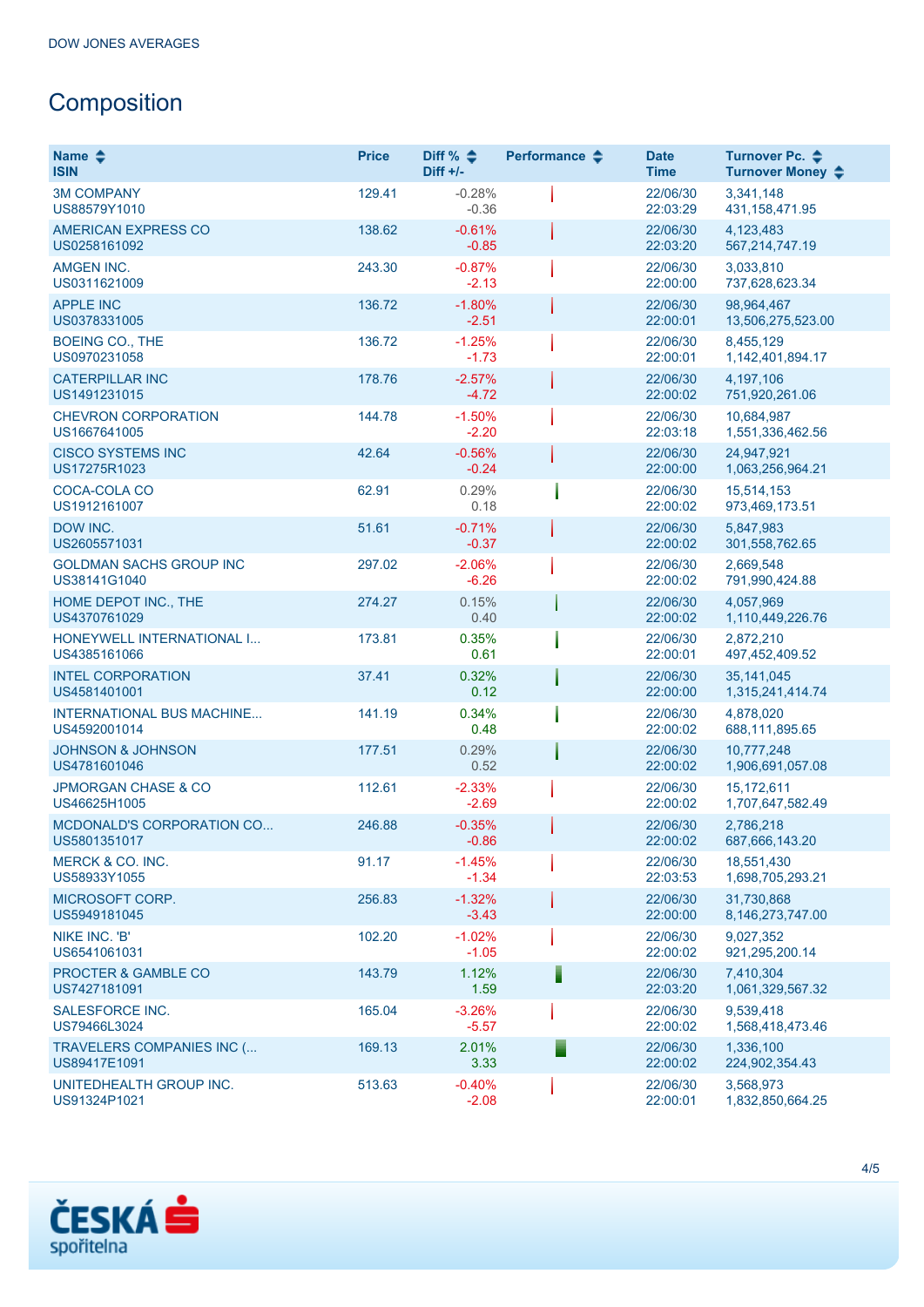# **Composition**

| Name $\clubsuit$<br><b>ISIN</b>                  | <b>Price</b> | Diff % $\triangleq$<br>$Diff +/-$ | Performance $\triangle$ | <b>Date</b><br><b>Time</b> | Turnover Pc. ♦<br>Turnover Money ♦ |
|--------------------------------------------------|--------------|-----------------------------------|-------------------------|----------------------------|------------------------------------|
| <b>3M COMPANY</b><br>US88579Y1010                | 129.41       | $-0.28%$<br>$-0.36$               |                         | 22/06/30<br>22:03:29       | 3,341,148<br>431, 158, 471. 95     |
| <b>AMERICAN EXPRESS CO</b><br>US0258161092       | 138.62       | $-0.61%$<br>$-0.85$               |                         | 22/06/30<br>22:03:20       | 4,123,483<br>567,214,747.19        |
| <b>AMGEN INC.</b><br>US0311621009                | 243.30       | $-0.87%$<br>$-2.13$               |                         | 22/06/30<br>22:00:00       | 3,033,810<br>737,628,623.34        |
| <b>APPLE INC</b><br>US0378331005                 | 136.72       | $-1.80%$<br>$-2.51$               |                         | 22/06/30<br>22:00:01       | 98,964,467<br>13,506,275,523.00    |
| <b>BOEING CO., THE</b><br>US0970231058           | 136.72       | $-1.25%$<br>$-1.73$               |                         | 22/06/30<br>22:00:01       | 8,455,129<br>1,142,401,894.17      |
| <b>CATERPILLAR INC</b><br>US1491231015           | 178.76       | $-2.57%$<br>$-4.72$               |                         | 22/06/30<br>22:00:02       | 4,197,106<br>751,920,261.06        |
| <b>CHEVRON CORPORATION</b><br>US1667641005       | 144.78       | $-1.50%$<br>$-2.20$               |                         | 22/06/30<br>22:03:18       | 10,684,987<br>1,551,336,462.56     |
| <b>CISCO SYSTEMS INC</b><br>US17275R1023         | 42.64        | $-0.56%$<br>$-0.24$               |                         | 22/06/30<br>22:00:00       | 24,947,921<br>1,063,256,964.21     |
| COCA-COLA CO<br>US1912161007                     | 62.91        | 0.29%<br>0.18                     |                         | 22/06/30<br>22:00:02       | 15,514,153<br>973,469,173.51       |
| DOW INC.<br>US2605571031                         | 51.61        | $-0.71%$<br>$-0.37$               |                         | 22/06/30<br>22:00:02       | 5,847,983<br>301,558,762.65        |
| <b>GOLDMAN SACHS GROUP INC</b><br>US38141G1040   | 297.02       | $-2.06%$<br>$-6.26$               |                         | 22/06/30<br>22:00:02       | 2,669,548<br>791,990,424.88        |
| HOME DEPOT INC., THE<br>US4370761029             | 274.27       | 0.15%<br>0.40                     |                         | 22/06/30<br>22:00:02       | 4,057,969<br>1,110,449,226.76      |
| HONEYWELL INTERNATIONAL I<br>US4385161066        | 173.81       | 0.35%<br>0.61                     |                         | 22/06/30<br>22:00:01       | 2,872,210<br>497,452,409.52        |
| <b>INTEL CORPORATION</b><br>US4581401001         | 37.41        | 0.32%<br>0.12                     |                         | 22/06/30<br>22:00:00       | 35,141,045<br>1,315,241,414.74     |
| <b>INTERNATIONAL BUS MACHINE</b><br>US4592001014 | 141.19       | 0.34%<br>0.48                     |                         | 22/06/30<br>22:00:02       | 4,878,020<br>688,111,895.65        |
| <b>JOHNSON &amp; JOHNSON</b><br>US4781601046     | 177.51       | 0.29%<br>0.52                     |                         | 22/06/30<br>22:00:02       | 10,777,248<br>1,906,691,057.08     |
| <b>JPMORGAN CHASE &amp; CO</b><br>US46625H1005   | 112.61       | $-2.33%$<br>$-2.69$               |                         | 22/06/30<br>22:00:02       | 15,172,611<br>1,707,647,582.49     |
| MCDONALD'S CORPORATION CO<br>US5801351017        | 246.88       | $-0.35%$<br>$-0.86$               |                         | 22/06/30<br>22:00:02       | 2,786,218<br>687,666,143.20        |
| MERCK & CO. INC.<br>US58933Y1055                 | 91.17        | $-1.45%$<br>$-1.34$               |                         | 22/06/30<br>22:03:53       | 18,551,430<br>1,698,705,293.21     |
| <b>MICROSOFT CORP.</b><br>US5949181045           | 256.83       | $-1.32%$<br>$-3.43$               |                         | 22/06/30<br>22:00:00       | 31.730.868<br>8,146,273,747.00     |
| NIKE INC. 'B'<br>US6541061031                    | 102.20       | $-1.02%$<br>$-1.05$               |                         | 22/06/30<br>22:00:02       | 9,027,352<br>921,295,200.14        |
| PROCTER & GAMBLE CO<br>US7427181091              | 143.79       | 1.12%<br>1.59                     | Ē                       | 22/06/30<br>22:03:20       | 7,410,304<br>1,061,329,567.32      |
| SALESFORCE INC.<br>US79466L3024                  | 165.04       | $-3.26%$<br>$-5.57$               |                         | 22/06/30<br>22:00:02       | 9,539,418<br>1,568,418,473.46      |
| TRAVELERS COMPANIES INC (<br>US89417E1091        | 169.13       | 2.01%<br>3.33                     |                         | 22/06/30<br>22:00:02       | 1,336,100<br>224,902,354.43        |
| UNITEDHEALTH GROUP INC.<br>US91324P1021          | 513.63       | $-0.40%$<br>$-2.08$               |                         | 22/06/30<br>22:00:01       | 3,568,973<br>1,832,850,664.25      |